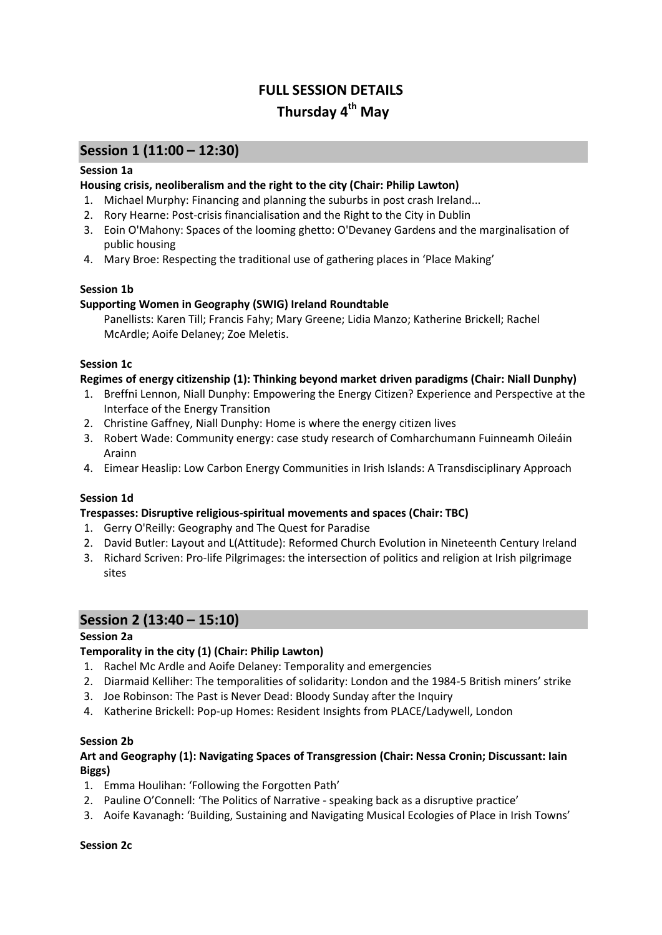# **FULL SESSION DETAILS Thursday 4 th May**

# **Session 1 (11:00 – 12:30)**

#### **Session 1a**

#### **Housing crisis, neoliberalism and the right to the city (Chair: Philip Lawton)**

- 1. Michael Murphy: Financing and planning the suburbs in post crash Ireland...
- 2. Rory Hearne: Post-crisis financialisation and the Right to the City in Dublin
- 3. Eoin O'Mahony: Spaces of the looming ghetto: O'Devaney Gardens and the marginalisation of public housing
- 4. Mary Broe: Respecting the traditional use of gathering places in 'Place Making'

#### **Session 1b**

#### **Supporting Women in Geography (SWIG) Ireland Roundtable**

Panellists: Karen Till; Francis Fahy; Mary Greene; Lidia Manzo; Katherine Brickell; Rachel McArdle; Aoife Delaney; Zoe Meletis.

#### **Session 1c**

#### **Regimes of energy citizenship (1): Thinking beyond market driven paradigms (Chair: Niall Dunphy)**

- 1. Breffni Lennon, Niall Dunphy: Empowering the Energy Citizen? Experience and Perspective at the Interface of the Energy Transition
- 2. Christine Gaffney, Niall Dunphy: Home is where the energy citizen lives
- 3. Robert Wade: Community energy: case study research of Comharchumann Fuinneamh Oileáin Arainn
- 4. Eimear Heaslip: Low Carbon Energy Communities in Irish Islands: A Transdisciplinary Approach

#### **Session 1d**

#### **Trespasses: Disruptive religious-spiritual movements and spaces (Chair: TBC)**

- 1. Gerry O'Reilly: Geography and The Quest for Paradise
- 2. David Butler: Layout and L(Attitude): Reformed Church Evolution in Nineteenth Century Ireland
- 3. Richard Scriven: Pro-life Pilgrimages: the intersection of politics and religion at Irish pilgrimage sites

#### **Session 2 (13:40 – 15:10)**

#### **Session 2a**

#### **Temporality in the city (1) (Chair: Philip Lawton)**

- 1. Rachel Mc Ardle and Aoife Delaney: Temporality and emergencies
- 2. Diarmaid Kelliher: The temporalities of solidarity: London and the 1984-5 British miners' strike
- 3. Joe Robinson: The Past is Never Dead: Bloody Sunday after the Inquiry
- 4. Katherine Brickell: Pop-up Homes: Resident Insights from PLACE/Ladywell, London

#### **Session 2b**

#### **Art and Geography (1): Navigating Spaces of Transgression (Chair: Nessa Cronin; Discussant: Iain Biggs)**

- 1. Emma Houlihan: 'Following the Forgotten Path'
- 2. Pauline O'Connell: 'The Politics of Narrative speaking back as a disruptive practice'
- 3. Aoife Kavanagh: 'Building, Sustaining and Navigating Musical Ecologies of Place in Irish Towns'

#### **Session 2c**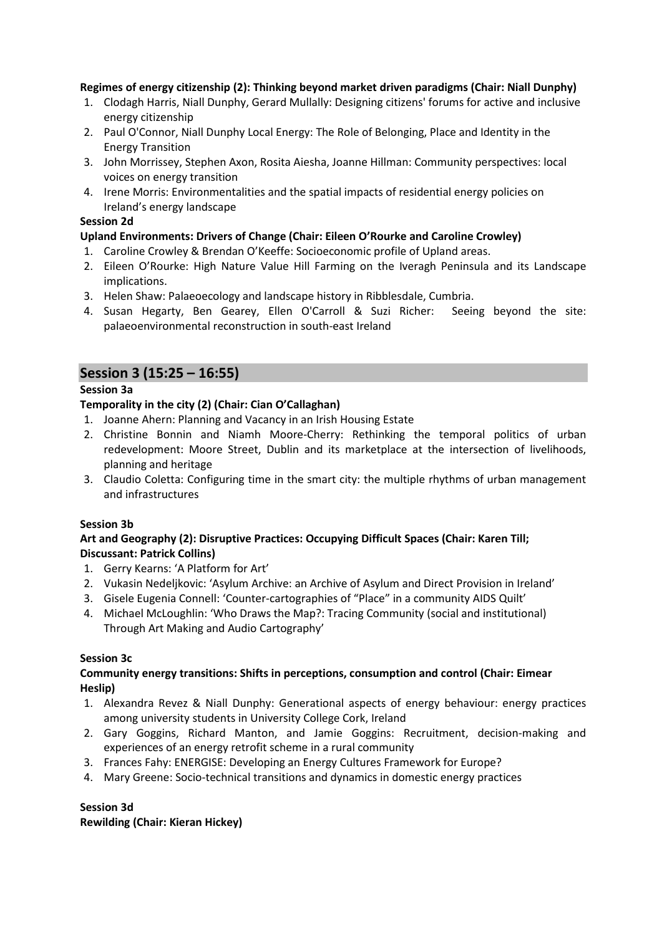#### **Regimes of energy citizenship (2): Thinking beyond market driven paradigms (Chair: Niall Dunphy)**

- 1. Clodagh Harris, Niall Dunphy, Gerard Mullally: Designing citizens' forums for active and inclusive energy citizenship
- 2. Paul O'Connor, Niall Dunphy Local Energy: The Role of Belonging, Place and Identity in the Energy Transition
- 3. John Morrissey, Stephen Axon, Rosita Aiesha, Joanne Hillman: Community perspectives: local voices on energy transition
- 4. Irene Morris: Environmentalities and the spatial impacts of residential energy policies on Ireland's energy landscape

#### **Session 2d**

#### **Upland Environments: Drivers of Change (Chair: Eileen O'Rourke and Caroline Crowley)**

- 1. Caroline Crowley & Brendan O'Keeffe: Socioeconomic profile of Upland areas.
- 2. Eileen O'Rourke: High Nature Value Hill Farming on the Iveragh Peninsula and its Landscape implications.
- 3. Helen Shaw: Palaeoecology and landscape history in Ribblesdale, Cumbria.
- 4. Susan Hegarty, Ben Gearey, Ellen O'Carroll & Suzi Richer: Seeing beyond the site: palaeoenvironmental reconstruction in south-east Ireland

## **Session 3 (15:25 – 16:55)**

#### **Session 3a**

#### **Temporality in the city (2) (Chair: Cian O'Callaghan)**

- 1. Joanne Ahern: Planning and Vacancy in an Irish Housing Estate
- 2. Christine Bonnin and Niamh Moore-Cherry: Rethinking the temporal politics of urban redevelopment: Moore Street, Dublin and its marketplace at the intersection of livelihoods, planning and heritage
- 3. Claudio Coletta: Configuring time in the smart city: the multiple rhythms of urban management and infrastructures

#### **Session 3b**

#### **Art and Geography (2): Disruptive Practices: Occupying Difficult Spaces (Chair: Karen Till; Discussant: Patrick Collins)**

- 1. Gerry Kearns: 'A Platform for Art'
- 2. Vukasin Nedeljkovic: 'Asylum Archive: an Archive of Asylum and Direct Provision in Ireland'
- 3. Gisele Eugenia Connell: 'Counter-cartographies of "Place" in a community AIDS Quilt'
- 4. Michael McLoughlin: 'Who Draws the Map?: Tracing Community (social and institutional) Through Art Making and Audio Cartography'

#### **Session 3c**

#### **Community energy transitions: Shifts in perceptions, consumption and control (Chair: Eimear Heslip)**

- 1. Alexandra Revez & Niall Dunphy: Generational aspects of energy behaviour: energy practices among university students in University College Cork, Ireland
- 2. Gary Goggins, Richard Manton, and Jamie Goggins: Recruitment, decision-making and experiences of an energy retrofit scheme in a rural community
- 3. Frances Fahy: ENERGISE: Developing an Energy Cultures Framework for Europe?
- 4. Mary Greene: Socio-technical transitions and dynamics in domestic energy practices

#### **Session 3d**

**Rewilding (Chair: Kieran Hickey)**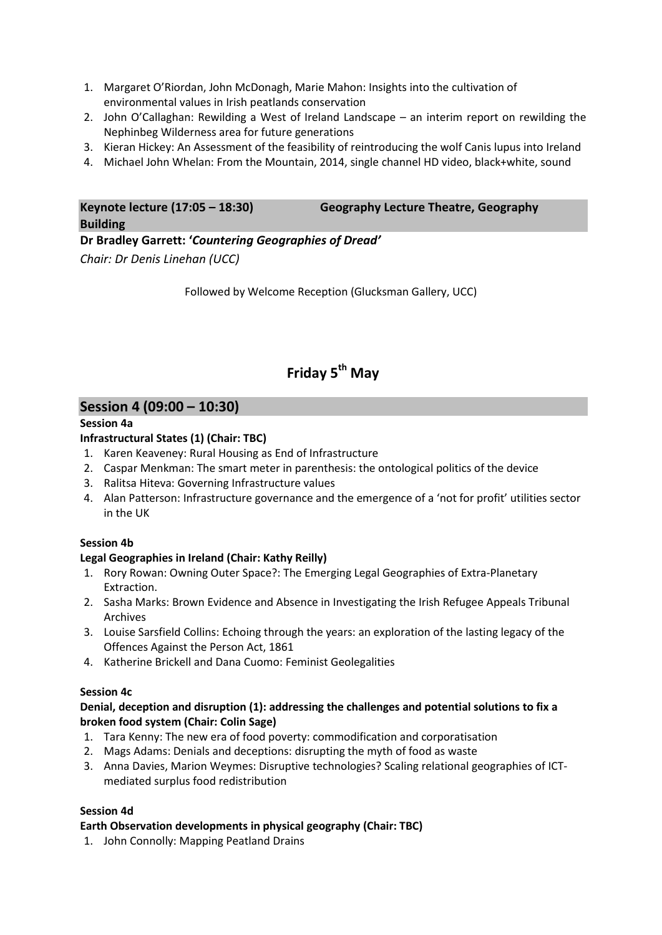- 1. Margaret O'Riordan, John McDonagh, Marie Mahon: Insights into the cultivation of environmental values in Irish peatlands conservation
- 2. John O'Callaghan: Rewilding a West of Ireland Landscape an interim report on rewilding the Nephinbeg Wilderness area for future generations
- 3. Kieran Hickey: An Assessment of the feasibility of reintroducing the wolf Canis lupus into Ireland
- 4. Michael John Whelan: From the Mountain, 2014, single channel HD video, black+white, sound

#### **Keynote lecture (17:05 – 18:30) Geography Lecture Theatre, Geography Building**

**Dr Bradley Garrett: '***Countering Geographies of Dread' Chair: Dr Denis Linehan (UCC)*

Followed by Welcome Reception (Glucksman Gallery, UCC)

# **Friday 5 th May**

## **Session 4 (09:00 – 10:30)**

#### **Session 4a**

#### **Infrastructural States (1) (Chair: TBC)**

- 1. Karen Keaveney: Rural Housing as End of Infrastructure
- 2. Caspar Menkman: The smart meter in parenthesis: the ontological politics of the device
- 3. Ralitsa Hiteva: Governing Infrastructure values
- 4. Alan Patterson: Infrastructure governance and the emergence of a 'not for profit' utilities sector in the UK

#### **Session 4b**

#### **Legal Geographies in Ireland (Chair: Kathy Reilly)**

- 1. Rory Rowan: Owning Outer Space?: The Emerging Legal Geographies of Extra-Planetary Extraction.
- 2. Sasha Marks: Brown Evidence and Absence in Investigating the Irish Refugee Appeals Tribunal Archives
- 3. Louise Sarsfield Collins: Echoing through the years: an exploration of the lasting legacy of the Offences Against the Person Act, 1861
- 4. Katherine Brickell and Dana Cuomo: Feminist Geolegalities

#### **Session 4c**

#### **Denial, deception and disruption (1): addressing the challenges and potential solutions to fix a broken food system (Chair: Colin Sage)**

- 1. Tara Kenny: The new era of food poverty: commodification and corporatisation
- 2. Mags Adams: Denials and deceptions: disrupting the myth of food as waste
- 3. Anna Davies, Marion Weymes: Disruptive technologies? Scaling relational geographies of ICTmediated surplus food redistribution

#### **Session 4d**

#### **Earth Observation developments in physical geography (Chair: TBC)**

1. John Connolly: Mapping Peatland Drains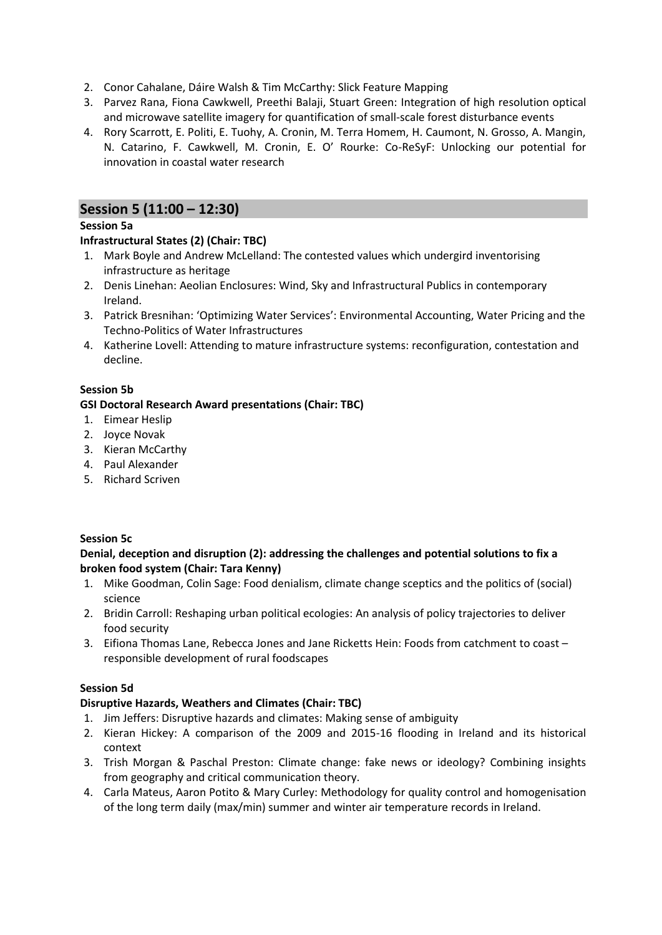- 2. Conor Cahalane, Dáire Walsh & Tim McCarthy: Slick Feature Mapping
- 3. Parvez Rana, Fiona Cawkwell, Preethi Balaji, Stuart Green: Integration of high resolution optical and microwave satellite imagery for quantification of small-scale forest disturbance events
- 4. Rory Scarrott, E. Politi, E. Tuohy, A. Cronin, M. Terra Homem, H. Caumont, N. Grosso, A. Mangin, N. Catarino, F. Cawkwell, M. Cronin, E. O' Rourke: Co-ReSyF: Unlocking our potential for innovation in coastal water research

## **Session 5 (11:00 – 12:30)**

#### **Session 5a**

#### **Infrastructural States (2) (Chair: TBC)**

- 1. Mark Boyle and Andrew McLelland: The contested values which undergird inventorising infrastructure as heritage
- 2. Denis Linehan: Aeolian Enclosures: Wind, Sky and Infrastructural Publics in contemporary Ireland.
- 3. Patrick Bresnihan: 'Optimizing Water Services': Environmental Accounting, Water Pricing and the Techno-Politics of Water Infrastructures
- 4. Katherine Lovell: Attending to mature infrastructure systems: reconfiguration, contestation and decline.

#### **Session 5b**

#### **GSI Doctoral Research Award presentations (Chair: TBC)**

- 1. Eimear Heslip
- 2. Joyce Novak
- 3. Kieran McCarthy
- 4. Paul Alexander
- 5. Richard Scriven

#### **Session 5c**

#### **Denial, deception and disruption (2): addressing the challenges and potential solutions to fix a broken food system (Chair: Tara Kenny)**

- 1. Mike Goodman, Colin Sage: Food denialism, climate change sceptics and the politics of (social) science
- 2. Bridin Carroll: Reshaping urban political ecologies: An analysis of policy trajectories to deliver food security
- 3. Eifiona Thomas Lane, Rebecca Jones and Jane Ricketts Hein: Foods from catchment to coast responsible development of rural foodscapes

#### **Session 5d**

#### **Disruptive Hazards, Weathers and Climates (Chair: TBC)**

- 1. Jim Jeffers: Disruptive hazards and climates: Making sense of ambiguity
- 2. Kieran Hickey: A comparison of the 2009 and 2015-16 flooding in Ireland and its historical context
- 3. Trish Morgan & Paschal Preston: Climate change: fake news or ideology? Combining insights from geography and critical communication theory.
- 4. Carla Mateus, Aaron Potito & Mary Curley: Methodology for quality control and homogenisation of the long term daily (max/min) summer and winter air temperature records in Ireland.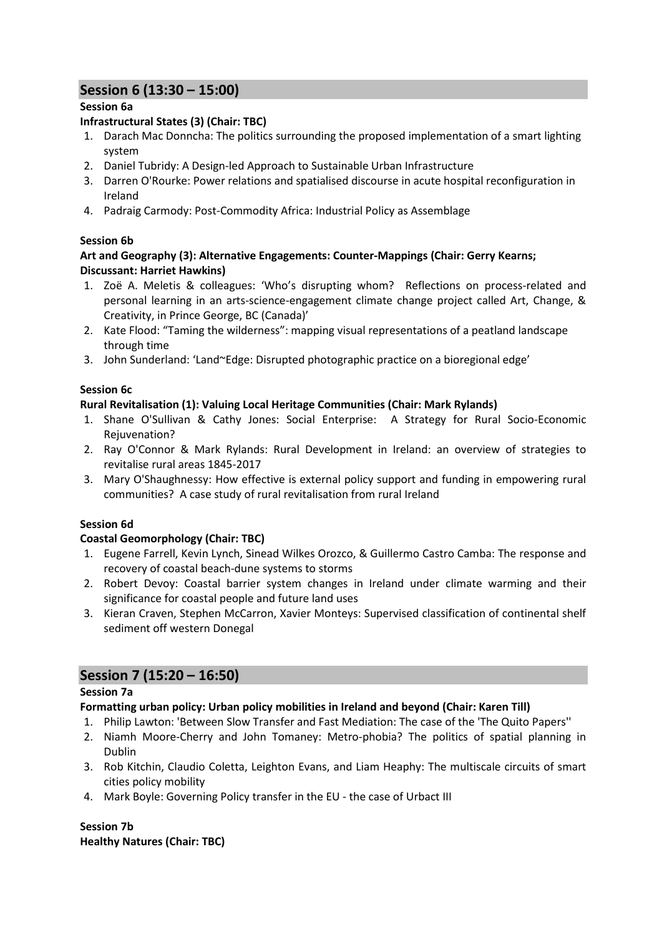# **Session 6 (13:30 – 15:00)**

#### **Session 6a**

#### **Infrastructural States (3) (Chair: TBC)**

- 1. Darach Mac Donncha: The politics surrounding the proposed implementation of a smart lighting system
- 2. Daniel Tubridy: A Design-led Approach to Sustainable Urban Infrastructure
- 3. Darren O'Rourke: Power relations and spatialised discourse in acute hospital reconfiguration in Ireland
- 4. Padraig Carmody: Post-Commodity Africa: Industrial Policy as Assemblage

#### **Session 6b**

#### **Art and Geography (3): Alternative Engagements: Counter-Mappings (Chair: Gerry Kearns; Discussant: Harriet Hawkins)**

- 1. Zoë A. Meletis & colleagues: 'Who's disrupting whom? Reflections on process-related and personal learning in an arts-science-engagement climate change project called Art, Change, & Creativity, in Prince George, BC (Canada)'
- 2. Kate Flood: "Taming the wilderness": mapping visual representations of a peatland landscape through time
- 3. John Sunderland: 'Land~Edge: Disrupted photographic practice on a bioregional edge'

#### **Session 6c**

#### **Rural Revitalisation (1): Valuing Local Heritage Communities (Chair: Mark Rylands)**

- 1. Shane O'Sullivan & Cathy Jones: Social Enterprise: A Strategy for Rural Socio-Economic Rejuvenation?
- 2. Ray O'Connor & Mark Rylands: Rural Development in Ireland: an overview of strategies to revitalise rural areas 1845-2017
- 3. Mary O'Shaughnessy: How effective is external policy support and funding in empowering rural communities? A case study of rural revitalisation from rural Ireland

#### **Session 6d**

#### **Coastal Geomorphology (Chair: TBC)**

- 1. Eugene Farrell, Kevin Lynch, Sinead Wilkes Orozco, & Guillermo Castro Camba: The response and recovery of coastal beach-dune systems to storms
- 2. Robert Devoy: Coastal barrier system changes in Ireland under climate warming and their significance for coastal people and future land uses
- 3. Kieran Craven, Stephen McCarron, Xavier Monteys: Supervised classification of continental shelf sediment off western Donegal

# **Session 7 (15:20 – 16:50)**

#### **Session 7a**

#### **Formatting urban policy: Urban policy mobilities in Ireland and beyond (Chair: Karen Till)**

- 1. Philip Lawton: 'Between Slow Transfer and Fast Mediation: The case of the 'The Quito Papers''
- 2. Niamh Moore-Cherry and John Tomaney: Metro-phobia? The politics of spatial planning in Dublin
- 3. Rob Kitchin, Claudio Coletta, Leighton Evans, and Liam Heaphy: The multiscale circuits of smart cities policy mobility
- 4. Mark Boyle: Governing Policy transfer in the EU the case of Urbact III

# **Session 7b**

**Healthy Natures (Chair: TBC)**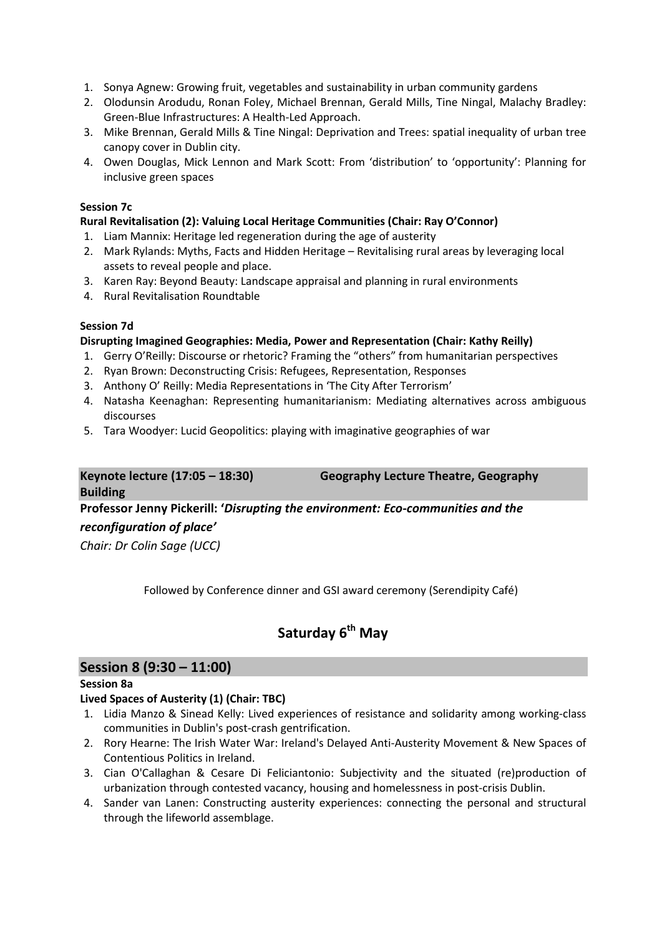- 1. Sonya Agnew: Growing fruit, vegetables and sustainability in urban community gardens
- 2. Olodunsin Arodudu, Ronan Foley, Michael Brennan, Gerald Mills, Tine Ningal, Malachy Bradley: Green-Blue Infrastructures: A Health-Led Approach.
- 3. Mike Brennan, Gerald Mills & Tine Ningal: Deprivation and Trees: spatial inequality of urban tree canopy cover in Dublin city.
- 4. Owen Douglas, Mick Lennon and Mark Scott: From 'distribution' to 'opportunity': Planning for inclusive green spaces

#### **Session 7c**

#### **Rural Revitalisation (2): Valuing Local Heritage Communities (Chair: Ray O'Connor)**

- 1. Liam Mannix: Heritage led regeneration during the age of austerity
- 2. Mark Rylands: Myths, Facts and Hidden Heritage Revitalising rural areas by leveraging local assets to reveal people and place.
- 3. Karen Ray: Beyond Beauty: Landscape appraisal and planning in rural environments
- 4. Rural Revitalisation Roundtable

#### **Session 7d**

#### **Disrupting Imagined Geographies: Media, Power and Representation (Chair: Kathy Reilly)**

- 1. Gerry O'Reilly: Discourse or rhetoric? Framing the "others" from humanitarian perspectives
- 2. Ryan Brown: Deconstructing Crisis: Refugees, Representation, Responses
- 3. Anthony O' Reilly: Media Representations in 'The City After Terrorism'
- 4. Natasha Keenaghan: Representing humanitarianism: Mediating alternatives across ambiguous discourses
- 5. Tara Woodyer: Lucid Geopolitics: playing with imaginative geographies of war

# **Building**

**Keynote lecture (17:05 – 18:30) Geography Lecture Theatre, Geography**

# **Professor Jenny Pickerill: '***Disrupting the environment: Eco-communities and the*

## *reconfiguration of place'*

*Chair: Dr Colin Sage (UCC)*

Followed by Conference dinner and GSI award ceremony (Serendipity Café)

# **Saturday 6 th May**

# **Session 8 (9:30 – 11:00)**

#### **Session 8a**

#### **Lived Spaces of Austerity (1) (Chair: TBC)**

- 1. Lidia Manzo & Sinead Kelly: Lived experiences of resistance and solidarity among working-class communities in Dublin's post-crash gentrification.
- 2. Rory Hearne: The Irish Water War: Ireland's Delayed Anti-Austerity Movement & New Spaces of Contentious Politics in Ireland.
- 3. Cian O'Callaghan & Cesare Di Feliciantonio: Subjectivity and the situated (re)production of urbanization through contested vacancy, housing and homelessness in post-crisis Dublin.
- 4. Sander van Lanen: Constructing austerity experiences: connecting the personal and structural through the lifeworld assemblage.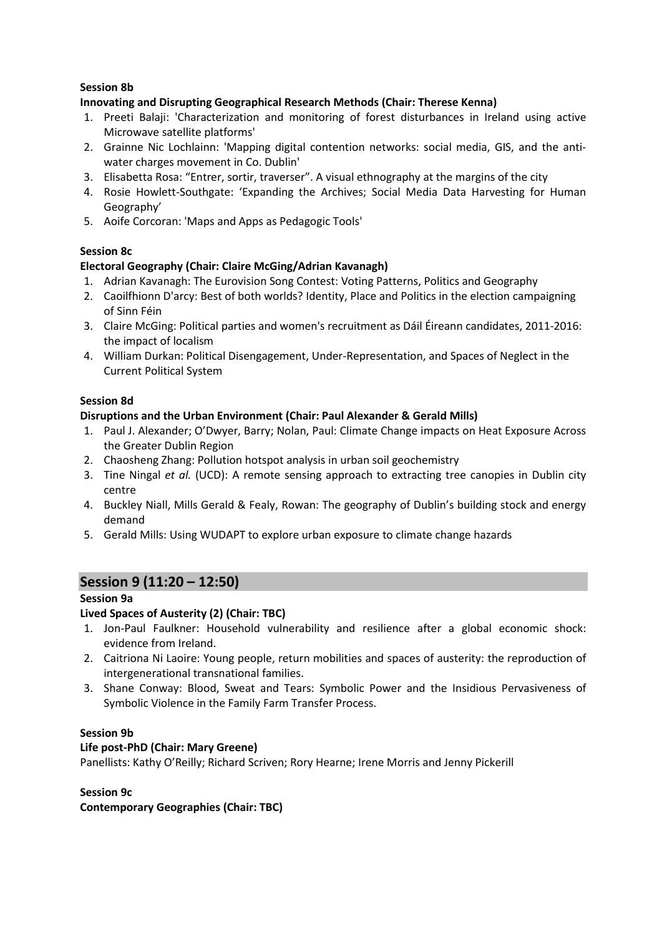#### **Session 8b**

#### **Innovating and Disrupting Geographical Research Methods (Chair: Therese Kenna)**

- 1. Preeti Balaji: 'Characterization and monitoring of forest disturbances in Ireland using active Microwave satellite platforms'
- 2. Grainne Nic Lochlainn: 'Mapping digital contention networks: social media, GIS, and the antiwater charges movement in Co. Dublin'
- 3. Elisabetta Rosa: "Entrer, sortir, traverser". A visual ethnography at the margins of the city
- 4. Rosie Howlett-Southgate: 'Expanding the Archives; Social Media Data Harvesting for Human Geography'
- 5. Aoife Corcoran: 'Maps and Apps as Pedagogic Tools'

#### **Session 8c**

#### **Electoral Geography (Chair: Claire McGing/Adrian Kavanagh)**

- 1. Adrian Kavanagh: The Eurovision Song Contest: Voting Patterns, Politics and Geography
- 2. Caoilfhionn D'arcy: Best of both worlds? Identity, Place and Politics in the election campaigning of Sinn Féin
- 3. Claire McGing: Political parties and women's recruitment as Dáil Éireann candidates, 2011-2016: the impact of localism
- 4. William Durkan: Political Disengagement, Under-Representation, and Spaces of Neglect in the Current Political System

#### **Session 8d**

#### **Disruptions and the Urban Environment (Chair: Paul Alexander & Gerald Mills)**

- 1. Paul J. Alexander; O'Dwyer, Barry; Nolan, Paul: Climate Change impacts on Heat Exposure Across the Greater Dublin Region
- 2. Chaosheng Zhang: Pollution hotspot analysis in urban soil geochemistry
- 3. Tine Ningal *et al.* (UCD): A remote sensing approach to extracting tree canopies in Dublin city centre
- 4. Buckley Niall, Mills Gerald & Fealy, Rowan: The geography of Dublin's building stock and energy demand
- 5. Gerald Mills: Using WUDAPT to explore urban exposure to climate change hazards

## **Session 9 (11:20 – 12:50)**

#### **Session 9a**

#### **Lived Spaces of Austerity (2) (Chair: TBC)**

- 1. Jon-Paul Faulkner: Household vulnerability and resilience after a global economic shock: evidence from Ireland.
- 2. Caitriona Ni Laoire: Young people, return mobilities and spaces of austerity: the reproduction of intergenerational transnational families.
- 3. Shane Conway: Blood, Sweat and Tears: Symbolic Power and the Insidious Pervasiveness of Symbolic Violence in the Family Farm Transfer Process.

#### **Session 9b**

#### **Life post-PhD (Chair: Mary Greene)**

Panellists: Kathy O'Reilly; Richard Scriven; Rory Hearne; Irene Morris and Jenny Pickerill

#### **Session 9c Contemporary Geographies (Chair: TBC)**